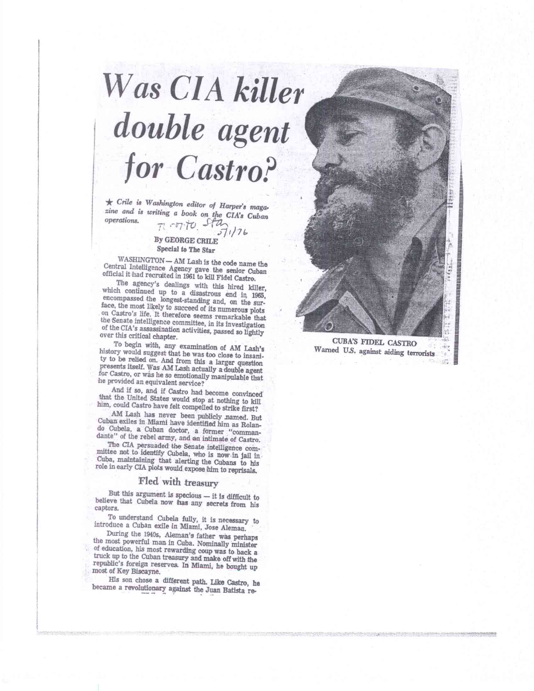# *Was CIA killer double agent for Castro?*

*\* Crile is Washington editor of Harper's magazinc and is writing a book on the CIA's Cuban operations.*   $\pi$  conta

## By GEORGE CRILE Special to The Star

 $176$ 

WASHINGTON— AM Lash is the code name the Central Intelligence Agency gave the senior Cuban official it had recruited in 1961 to kill Fidel Castro.

The agency's dealings with this hired killer, which continued up to a disastrous end in 1965, encompassed the longest-standing and, on the surface, the most likely to succeed of its numerous plots on Castro's life. It therefore seems remarkable that the Senate intelligence committee, in its investigation of the CIA's assassination activities, passed so lightly over this critical chapter.

To begin with, any examination of AM Lash's history would suggest that he was too close to insanity to be relied on. And from this a larger question presents itself. Was AM Lash actually a double agent for Castro, or was he so emotionally manipulable that he provided an equivalent service?

And if so. and if Castro had become convinced that the United States would stop at nothing to kill him, could Castro have felt compelled to strike first?

AM Lash has never been publicly .named. But Cuban exiles in Miami have identified him as Rolando Cubela, a Cuban doctor, a former "commandante" of the rebel army, and an intimate of Castro.

The CIA persuaded the Senate intelligence committee not to identify Cubela. who is now in jail in Cuba, maintaining that alerting the Cubans to his role in early CIA plots would expose him to reprisals.

# **Fled with treasury**

But this argument is specious — it is difficult to believe that Cubela now has any secrets from his captors.

To understand Cubela fully, it is necessary to introduce a Cuban exile in Miami, Jose Aleman.

During the 1949s, Aleman's father was perhaps the most powerful man in Cuba. Nominally minister of education, his most rewarding coup was to back a truck up to the Cuban treasury and make off with the republic's foreign reserves. In Miami, he bought up most of Key Biscayne.

His son chose a different path. Like Castro, be became a revolutionary against the Juan Batista re-

CUBA'S FIDEL CASTRO Warned U.S. against aiding terrorists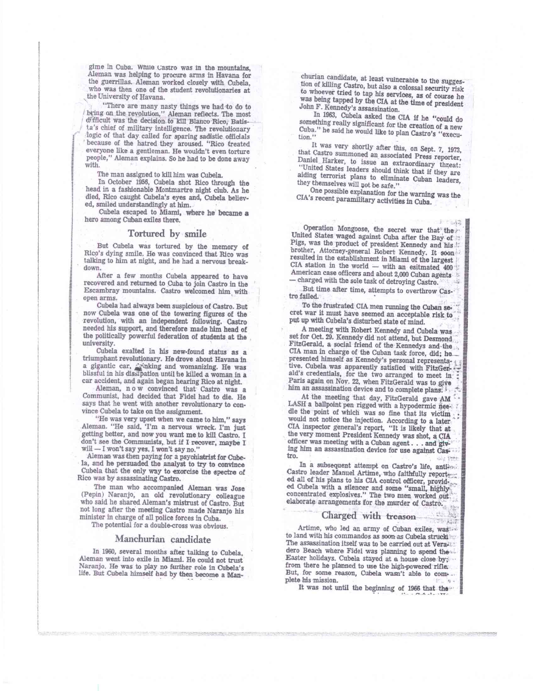gime in Cuba. While Castro was in the mountains, Aleman was helping to procure arms in Havana for the guerrillas. Aleman worked closely with Cubela, who was then one of the student revolutionaries at the University of Havana.

"There are many nasty things we had to do to bring on the revolution," Aleman reflects. The most difficult was the decision to kill Blanco Rico, Batista's chief of military intelligence. The revolutionary logic of that day called for sparing sadistic officials because of the hatred they aroused. "Rico treated everyone like a gentleman. He wouldn't even torture people," Aleman explains. So he had to be done away with.

The man assigned to kill him was Cubela.

In October 1956, Cubela shot Rico through the head in a fashionable Montmartre night club. As he died, Rico caught Cubela's eyes and, Cubela believed, smiled understandingly at him.

Cubela escaped to Miami, where he became a hero among Cuban exiles there.

#### Tortured by smile

But Cubela was tortured by the memory of Rico's dying smile. He was convinced that Rico was talking to him at night, and he had a nervous breakdown.

After a few months Cubela appeared to have recovered and returned to Cuba to join Castro in the Escambray mountains. Castro welcomed him, with open arms.

Cubela had always been suspicious of Castro. But now Cubela was one of the towering figures of the revolution, with an independent following. Castro needed his support, and therefore made him head of the politically powerful federation of students at the university.

Cubela exalted in his new-found status as a triumphant revolutionary. He drove about Havana in a gigantic car. *i* yinking and womanizing. He was<br>blissful in his dissipation until he killed a woman in a car accident, and again began hearing Rico at night.

Aleman, n o w convinced that Castro was a Communist, had decided that Fidel had to die. He says that he went with another revolutionary to convince Cubela to take on the assignment.

"He was very upset when we came to him," says Aleman. "He said, 'I'm a nervous wreck. I'm just getting better, and now you want me to kill Castro. I don't see the Communists, but if I recover, maybe I will — I won't say yes. I won't say no."

Aleman was then paying for a psychiatrist for Cubela, and he persuaded the analyst to try to convince Cubela that the only way to exorcise the spectre of Rico was by assassinating Castro.

The man who accompanied Aleman was Jose (Pepin) Naranjo, an old revolutionary colleague who said he shared Aleman's mistrust of Castro. But not long after the meeting Castro made Naranjo his minister in charge of all police forces in Cuba.

The potential for a double-cross was obvious.

#### Manchurian candidate

In 1960, several months after talking to Cubela, Aleman went into exile in Miami. He could not trust Naranjo. He was to play no further role in Cubela's life. But Cubela himself had by then become a Man-

churian candidate, at least vulnerable to the suggestion of killing Castro, but also a colossal security risk to whoever tried to tap his services, as of course he was being tapped by the CIA at the time of president John F. Kennedy's assassination.

In 1963, Cubela asked the CIA if he "could do something really significant for the creation of a new Cuba." he said he would like to plan Castro's "execu-tion."

It was very shortly after this, on Sept. 7, 1973, that Castro summoned an associated Press reporter, Daniel Harker, to issue an extraordinary threat: "United States leaders should think that if they are aiding terrorist plans to eliminate Cuban leaders, they themselves will not be safe."

One possible explanation for the warning was the CIA's recent paramilitary activities in Cuba.

Operation Mongoose, the secret war that the United States waged against Cuba after the Bay of Pigs, was the product of president Kennedy and his brother, Attorney-general Robert Kennedy. It soon resulted in the establishment in Miami of the largest CIA station in the world — with an esitmated 400 American case officers and about 2,000 Cuban agents — charged with the sole task of detroying Castro. •

**11111U110111111111ffillifillItUll=01** 

a

3

But time after time, attempts to overthrow Castro failed.

To the frustrated CIA men running the Cuban se- • cret war it must have seemed an acceptable risk to put up with Cubela's disturbed state of mind.

A meeting with Robert Kennedy and Cubela was set for Oct. 29. Kennedy did not attend, but Desmond FitzGerald. a social friend of the Kennedys and the CIA man in charge of the Cuban task force, did; he presented himself as Kennedy's personal representative. Cubela was apparently satisfied with FitzGen- ald's credentials, for the two arranged to meet in Paris again on Nov. 22, when FitzGerald was to give him an assassination device and to complete plans.<sup>1</sup>

At the meeting that day, FitzGerald gave AM LASH a ballpoint pen rigged with a hypodermic needie the point of which was so fine that its victim would not notice the injection. According to a later CIA inspector general's report, "It is likely that at the very moment President Kennedy was shot, a CIA officer was meeting with a Cuban agent . . . and giving him an assassination device for use against Castro.

In a subsequent attempt on Castro's life, anti-oni Castro leader Manuel Artime, who faithfully report-. ed all of his plans to his CIA control officer, provided Cubela with a silencer and some "small, highly concentrated explosives." The two men worked out elaborate arrangements for the murder of Castro.

Charged with treason

Artime, who led an army of Cuban exiles, was to land with his commandos as soon as Cubela struck The assassination itself was to be carried out at Veradero Beach where Fidel was planning to spend the Easter holidays. Cubela stayed at a house close by; from there he planned to use the high-powered rifle. But, for some reason, Cubela wasn't able to com. pieta his mission.

It was not until the beginning of 1966 that the